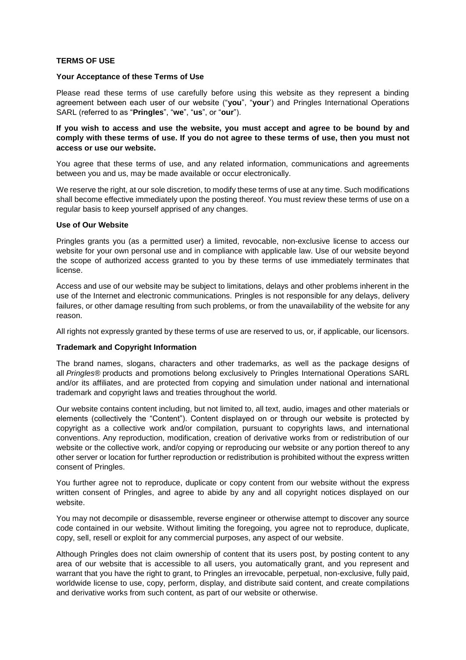# **TERMS OF USE**

### **Your Acceptance of these Terms of Use**

Please read these terms of use carefully before using this website as they represent a binding agreement between each user of our website ("**you**", "**your**') and Pringles International Operations SARL (referred to as "**Pringles**", "**we**", "**us**", or "**our**").

## **If you wish to access and use the website, you must accept and agree to be bound by and** comply with these terms of use. If you do not agree to these terms of use, then you must not **access or use our website.**

You agree that these terms of use, and any related information, communications and agreements between you and us, may be made available or occur electronically.

We reserve the right, at our sole discretion, to modify these terms of use at any time. Such modifications shall become effective immediately upon the posting thereof. You must review these terms of use on a regular basis to keep yourself apprised of any changes.

### **Use of Our Website**

Pringles grants you (as a permitted user) a limited, revocable, non-exclusive license to access our website for your own personal use and in compliance with applicable law. Use of our website beyond the scope of authorized access granted to you by these terms of use immediately terminates that license.

Access and use of our website may be subject to limitations, delays and other problems inherent in the use of the Internet and electronic communications. Pringles is not responsible for any delays, delivery failures, or other damage resulting from such problems, or from the unavailability of the website for any reason.

All rights not expressly granted by these terms of use are reserved to us, or, if applicable, our licensors.

### **Trademark and Copyright Information**

The brand names, slogans, characters and other trademarks, as well as the package designs of all *Pringles®* products and promotions belong exclusively to Pringles International Operations SARL and/or its affiliates, and are protected from copying and simulation under national and international trademark and copyright laws and treaties throughout the world.

Our website contains content including, but not limited to, all text, audio, images and other materials or elements (collectively the "Content"). Content displayed on or through our website is protected by copyright as a collective work and/or compilation, pursuant to copyrights laws, and international conventions. Any reproduction, modification, creation of derivative works from or redistribution of our website or the collective work, and/or copying or reproducing our website or any portion thereof to any other server or location for further reproduction or redistribution is prohibited without the express written consent of Pringles.

You further agree not to reproduce, duplicate or copy content from our website without the express written consent of Pringles, and agree to abide by any and all copyright notices displayed on our website.

You may not decompile or disassemble, reverse engineer or otherwise attempt to discover any source code contained in our website. Without limiting the foregoing, you agree not to reproduce, duplicate, copy, sell, resell or exploit for any commercial purposes, any aspect of our website.

Although Pringles does not claim ownership of content that its users post, by posting content to any area of our website that is accessible to all users, you automatically grant, and you represent and warrant that you have the right to grant, to Pringles an irrevocable, perpetual, non-exclusive, fully paid, worldwide license to use, copy, perform, display, and distribute said content, and create compilations and derivative works from such content, as part of our website or otherwise.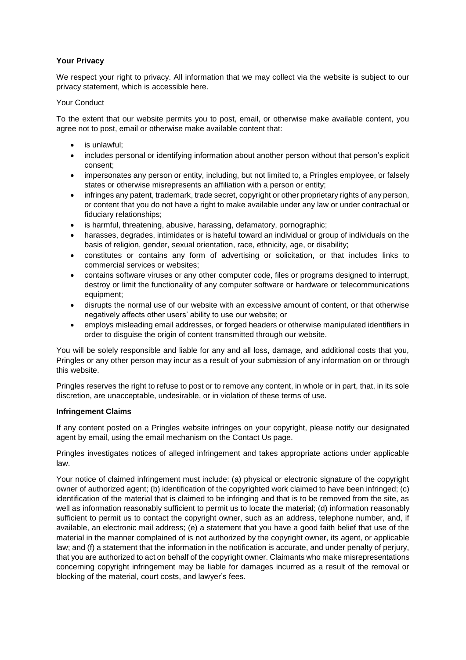# **Your Privacy**

We respect your right to privacy. All information that we may collect via the website is subject to our privacy statement, which is accessible here.

# Your Conduct

To the extent that our website permits you to post, email, or otherwise make available content, you agree not to post, email or otherwise make available content that:

- is unlawful;
- includes personal or identifying information about another person without that person's explicit consent;
- impersonates any person or entity, including, but not limited to, a Pringles employee, or falsely states or otherwise misrepresents an affiliation with a person or entity;
- infringes any patent, trademark, trade secret, copyright or other proprietary rights of any person, or content that you do not have a right to make available under any law or under contractual or fiduciary relationships;
- is harmful, threatening, abusive, harassing, defamatory, pornographic;
- harasses, degrades, intimidates or is hateful toward an individual or group of individuals on the basis of religion, gender, sexual orientation, race, ethnicity, age, or disability;
- constitutes or contains any form of advertising or solicitation, or that includes links to commercial services or websites;
- contains software viruses or any other computer code, files or programs designed to interrupt, destroy or limit the functionality of any computer software or hardware or telecommunications equipment;
- disrupts the normal use of our website with an excessive amount of content, or that otherwise negatively affects other users' ability to use our website; or
- employs misleading email addresses, or forged headers or otherwise manipulated identifiers in order to disguise the origin of content transmitted through our website.

You will be solely responsible and liable for any and all loss, damage, and additional costs that you, Pringles or any other person may incur as a result of your submission of any information on or through this website.

Pringles reserves the right to refuse to post or to remove any content, in whole or in part, that, in its sole discretion, are unacceptable, undesirable, or in violation of these terms of use.

# **Infringement Claims**

If any content posted on a Pringles website infringes on your copyright, please notify our designated agent by email, using the email mechanism on the Contact Us page.

Pringles investigates notices of alleged infringement and takes appropriate actions under applicable law.

Your notice of claimed infringement must include: (a) physical or electronic signature of the copyright owner of authorized agent; (b) identification of the copyrighted work claimed to have been infringed; (c) identification of the material that is claimed to be infringing and that is to be removed from the site, as well as information reasonably sufficient to permit us to locate the material; (d) information reasonably sufficient to permit us to contact the copyright owner, such as an address, telephone number, and, if available, an electronic mail address; (e) a statement that you have a good faith belief that use of the material in the manner complained of is not authorized by the copyright owner, its agent, or applicable law; and (f) a statement that the information in the notification is accurate, and under penalty of perjury, that you are authorized to act on behalf of the copyright owner. Claimants who make misrepresentations concerning copyright infringement may be liable for damages incurred as a result of the removal or blocking of the material, court costs, and lawyer's fees.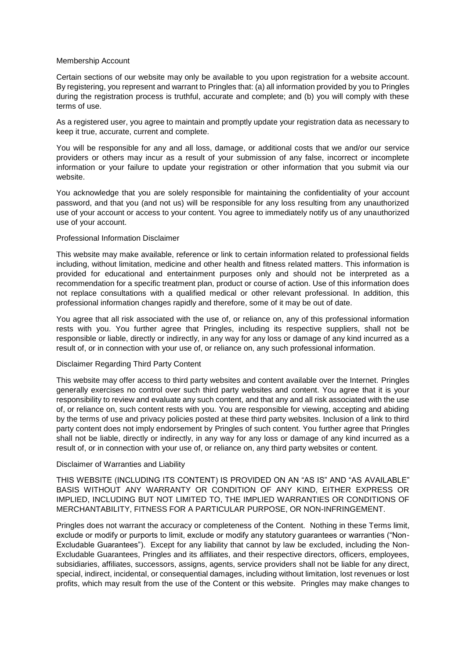### Membership Account

Certain sections of our website may only be available to you upon registration for a website account. By registering, you represent and warrant to Pringles that: (a) all information provided by you to Pringles during the registration process is truthful, accurate and complete; and (b) you will comply with these terms of use.

As a registered user, you agree to maintain and promptly update your registration data as necessary to keep it true, accurate, current and complete.

You will be responsible for any and all loss, damage, or additional costs that we and/or our service providers or others may incur as a result of your submission of any false, incorrect or incomplete information or your failure to update your registration or other information that you submit via our website.

You acknowledge that you are solely responsible for maintaining the confidentiality of your account password, and that you (and not us) will be responsible for any loss resulting from any unauthorized use of your account or access to your content. You agree to immediately notify us of any unauthorized use of your account.

## Professional Information Disclaimer

This website may make available, reference or link to certain information related to professional fields including, without limitation, medicine and other health and fitness related matters. This information is provided for educational and entertainment purposes only and should not be interpreted as a recommendation for a specific treatment plan, product or course of action. Use of this information does not replace consultations with a qualified medical or other relevant professional. In addition, this professional information changes rapidly and therefore, some of it may be out of date.

You agree that all risk associated with the use of, or reliance on, any of this professional information rests with you. You further agree that Pringles, including its respective suppliers, shall not be responsible or liable, directly or indirectly, in any way for any loss or damage of any kind incurred as a result of, or in connection with your use of, or reliance on, any such professional information.

# Disclaimer Regarding Third Party Content

This website may offer access to third party websites and content available over the Internet. Pringles generally exercises no control over such third party websites and content. You agree that it is your responsibility to review and evaluate any such content, and that any and all risk associated with the use of, or reliance on, such content rests with you. You are responsible for viewing, accepting and abiding by the terms of use and privacy policies posted at these third party websites. Inclusion of a link to third party content does not imply endorsement by Pringles of such content. You further agree that Pringles shall not be liable, directly or indirectly, in any way for any loss or damage of any kind incurred as a result of, or in connection with your use of, or reliance on, any third party websites or content.

#### Disclaimer of Warranties and Liability

THIS WEBSITE (INCLUDING ITS CONTENT) IS PROVIDED ON AN "AS IS" AND "AS AVAILABLE" BASIS WITHOUT ANY WARRANTY OR CONDITION OF ANY KIND, EITHER EXPRESS OR IMPLIED, INCLUDING BUT NOT LIMITED TO, THE IMPLIED WARRANTIES OR CONDITIONS OF MERCHANTABILITY, FITNESS FOR A PARTICULAR PURPOSE, OR NON-INFRINGEMENT.

Pringles does not warrant the accuracy or completeness of the Content. Nothing in these Terms limit, exclude or modify or purports to limit, exclude or modify any statutory guarantees or warranties ("Non-Excludable Guarantees"). Except for any liability that cannot by law be excluded, including the Non-Excludable Guarantees, Pringles and its affiliates, and their respective directors, officers, employees, subsidiaries, affiliates, successors, assigns, agents, service providers shall not be liable for any direct, special, indirect, incidental, or consequential damages, including without limitation, lost revenues or lost profits, which may result from the use of the Content or this website. Pringles may make changes to